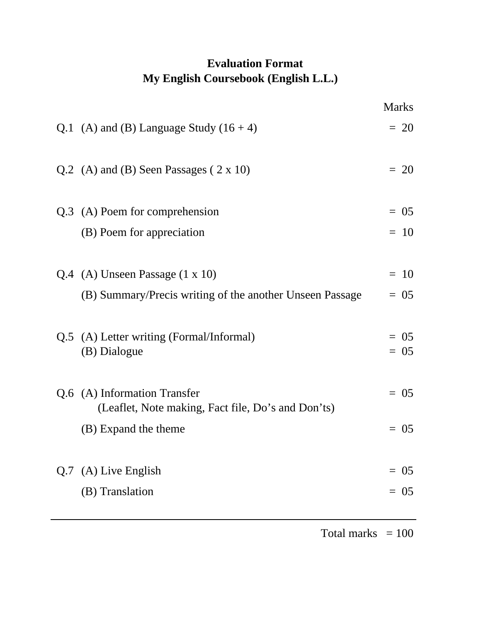## **Evaluation Format My English Coursebook (English L.L.)**

|                                                          | <b>Marks</b> |
|----------------------------------------------------------|--------------|
| Q.1 (A) and (B) Language Study $(16 + 4)$                | $= 20$       |
| Q.2 (A) and (B) Seen Passages $(2 \times 10)$            | $= 20$       |
| Q.3 (A) Poem for comprehension                           | $= 0.5$      |
| (B) Poem for appreciation                                | $= 10$       |
|                                                          |              |
| $Q.4$ (A) Unseen Passage $(1 \times 10)$                 | $= 10$       |
| (B) Summary/Precis writing of the another Unseen Passage | $= 0.5$      |
| Q.5 (A) Letter writing (Formal/Informal)                 | $= 05$       |
| (B) Dialogue                                             | $= 0.5$      |
| Q.6 (A) Information Transfer                             | $= 0.5$      |
| (Leaflet, Note making, Fact file, Do's and Don'ts)       |              |
| (B) Expand the theme                                     | $= 05$       |
|                                                          | $= 0.5$      |
| $Q.7$ (A) Live English                                   |              |
| (B) Translation                                          | $= 05$       |

Total marks  $= 100$